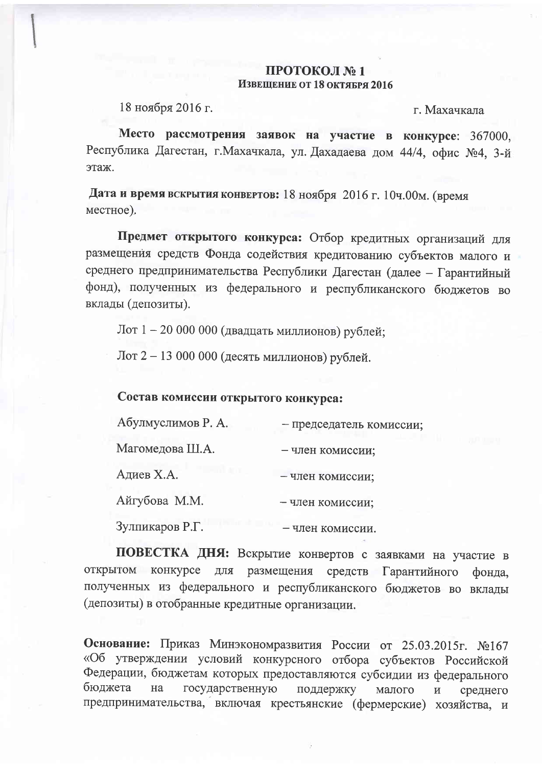## ПРОТОКОЛ №1 Извещение от 18 октября 2016

18 ноября 2016 г.

г. Махачкала

Место рассмотрения заявок на участие в конкурсе: 367000, Республика Дагестан, г. Махачкала, ул. Дахадаева дом 44/4, офис №4, 3-й этаж.

Дата и время вскрытия конвертов: 18 ноября 2016 г. 10ч.00м. (время местное).

Предмет открытого конкурса: Отбор кредитных организаций для размещения средств Фонда содействия кредитованию субъектов малого и среднего предпринимательства Республики Дагестан (далее - Гарантийный фонд), полученных из федерального и республиканского бюджетов во вклады (депозиты).

Лот 1 - 20 000 000 (двадцать миллионов) рублей;

Лот 2 - 13 000 000 (десять миллионов) рублей.

## Состав комиссии открытого конкурса:

| Абулмуслимов Р. А. | - председатель комиссии |
|--------------------|-------------------------|
| Магомедова Ш.А.    | - член комиссии;        |
| Адиев Х.А.         | - член комиссии;        |
| Айгубова М.М.      | - член комиссии;        |
| Зулпикаров Р.Г.    | — чпен комиссии         |

ПОВЕСТКА ДНЯ: Вскрытие конвертов с заявками на участие в открытом конкурсе для размещения средств Гарантийного фонда, полученных из федерального и республиканского бюджетов во вклады (депозиты) в отобранные кредитные организации.

Основание: Приказ Минэкономразвития России от 25.03.2015г. №167 «Об утверждении условий конкурсного отбора субъектов Российской Федерации, бюджетам которых предоставляются субсидии из федерального бюджета государственную на поддержку малого  $\mathbf{M}$ среднего предпринимательства, включая крестьянские (фермерские) хозяйства, и